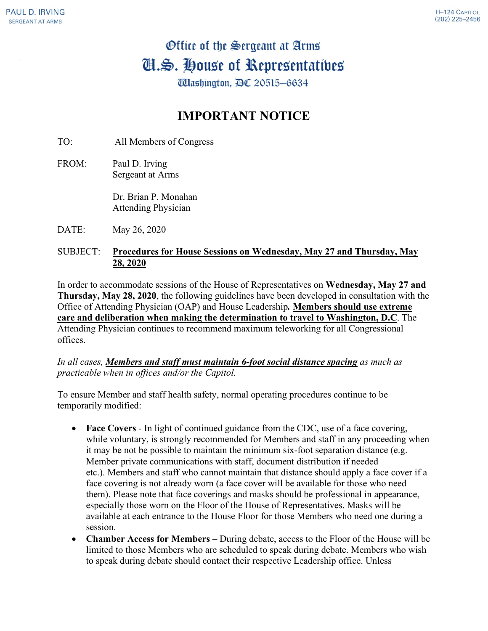## Office of the Sergeant at Arms Cl.S. House of Representatives

Udlashington, DC 20515-6634

## **IMPORTANT NOTICE**

TO: All Members of Congress

FROM: Paul D. Irving Sergeant at Arms

> Dr. Brian P. Monahan Attending Physician

DATE: May 26, 2020

## SUBJECT: **Procedures for House Sessions on Wednesday, May 27 and Thursday, May 28, 2020**

In order to accommodate sessions of the House of Representatives on **Wednesday, May 27 and Thursday, May 28, 2020**, the following guidelines have been developed in consultation with the Office of Attending Physician (OAP) and House Leadership*.* **Members should use extreme care and deliberation when making the determination to travel to Washington, D.C**. The Attending Physician continues to recommend maximum teleworking for all Congressional offices.

*In all cases, Members and staff must maintain 6-foot social distance spacing as much as practicable when in offices and/or the Capitol.*

To ensure Member and staff health safety, normal operating procedures continue to be temporarily modified:

- **Face Covers** In light of continued guidance from the CDC, use of a face covering, while voluntary, is strongly recommended for Members and staff in any proceeding when it may be not be possible to maintain the minimum six-foot separation distance (e.g. Member private communications with staff, document distribution if needed etc.). Members and staff who cannot maintain that distance should apply a face cover if a face covering is not already worn (a face cover will be available for those who need them). Please note that face coverings and masks should be professional in appearance, especially those worn on the Floor of the House of Representatives. Masks will be available at each entrance to the House Floor for those Members who need one during a session.
- **Chamber Access for Members** During debate, access to the Floor of the House will be limited to those Members who are scheduled to speak during debate. Members who wish to speak during debate should contact their respective Leadership office. Unless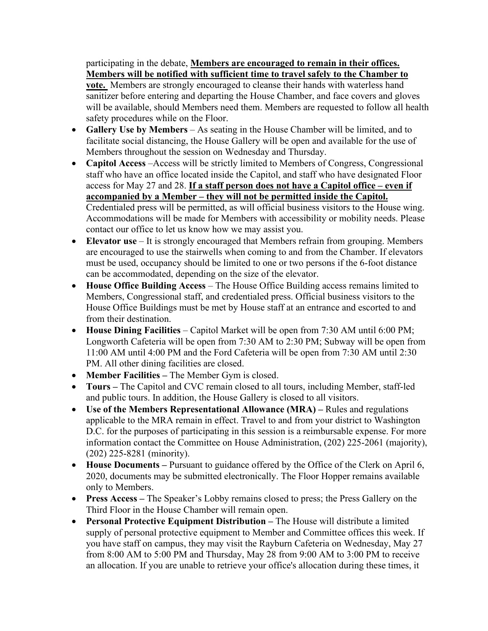## participating in the debate, **Members are encouraged to remain in their offices. Members will be notified with sufficient time to travel safely to the Chamber to**

**vote.** Members are strongly encouraged to cleanse their hands with waterless hand sanitizer before entering and departing the House Chamber, and face covers and gloves will be available, should Members need them. Members are requested to follow all health safety procedures while on the Floor.

- **Gallery Use by Members**  As seating in the House Chamber will be limited, and to facilitate social distancing, the House Gallery will be open and available for the use of Members throughout the session on Wednesday and Thursday.
- **Capitol Access** –Access will be strictly limited to Members of Congress, Congressional staff who have an office located inside the Capitol, and staff who have designated Floor access for May 27 and 28. **If a staff person does not have a Capitol office – even if accompanied by a Member – they will not be permitted inside the Capitol.** Credentialed press will be permitted, as will official business visitors to the House wing. Accommodations will be made for Members with accessibility or mobility needs. Please contact our office to let us know how we may assist you.
- **Elevator use** It is strongly encouraged that Members refrain from grouping. Members are encouraged to use the stairwells when coming to and from the Chamber. If elevators must be used, occupancy should be limited to one or two persons if the 6-foot distance can be accommodated, depending on the size of the elevator.
- **House Office Building Access**  The House Office Building access remains limited to Members, Congressional staff, and credentialed press. Official business visitors to the House Office Buildings must be met by House staff at an entrance and escorted to and from their destination.
- **House Dining Facilities**  Capitol Market will be open from 7:30 AM until 6:00 PM; Longworth Cafeteria will be open from 7:30 AM to 2:30 PM; Subway will be open from 11:00 AM until 4:00 PM and the Ford Cafeteria will be open from 7:30 AM until 2:30 PM. All other dining facilities are closed.
- **Member Facilities –** The Member Gym is closed.
- **Tours –** The Capitol and CVC remain closed to all tours, including Member, staff-led and public tours. In addition, the House Gallery is closed to all visitors.
- **Use of the Members Representational Allowance (MRA) –** Rules and regulations applicable to the MRA remain in effect. Travel to and from your district to Washington D.C. for the purposes of participating in this session is a reimbursable expense. For more information contact the Committee on House Administration, (202) 225-2061 (majority), (202) 225-8281 (minority).
- **House Documents –** Pursuant to guidance offered by the Office of the Clerk on April 6, 2020, documents may be submitted electronically. The Floor Hopper remains available only to Members.
- **Press Access –** The Speaker's Lobby remains closed to press; the Press Gallery on the Third Floor in the House Chamber will remain open.
- **Personal Protective Equipment Distribution –** The House will distribute a limited supply of personal protective equipment to Member and Committee offices this week. If you have staff on campus, they may visit the Rayburn Cafeteria on Wednesday, May 27 from 8:00 AM to 5:00 PM and Thursday, May 28 from 9:00 AM to 3:00 PM to receive an allocation. If you are unable to retrieve your office's allocation during these times, it